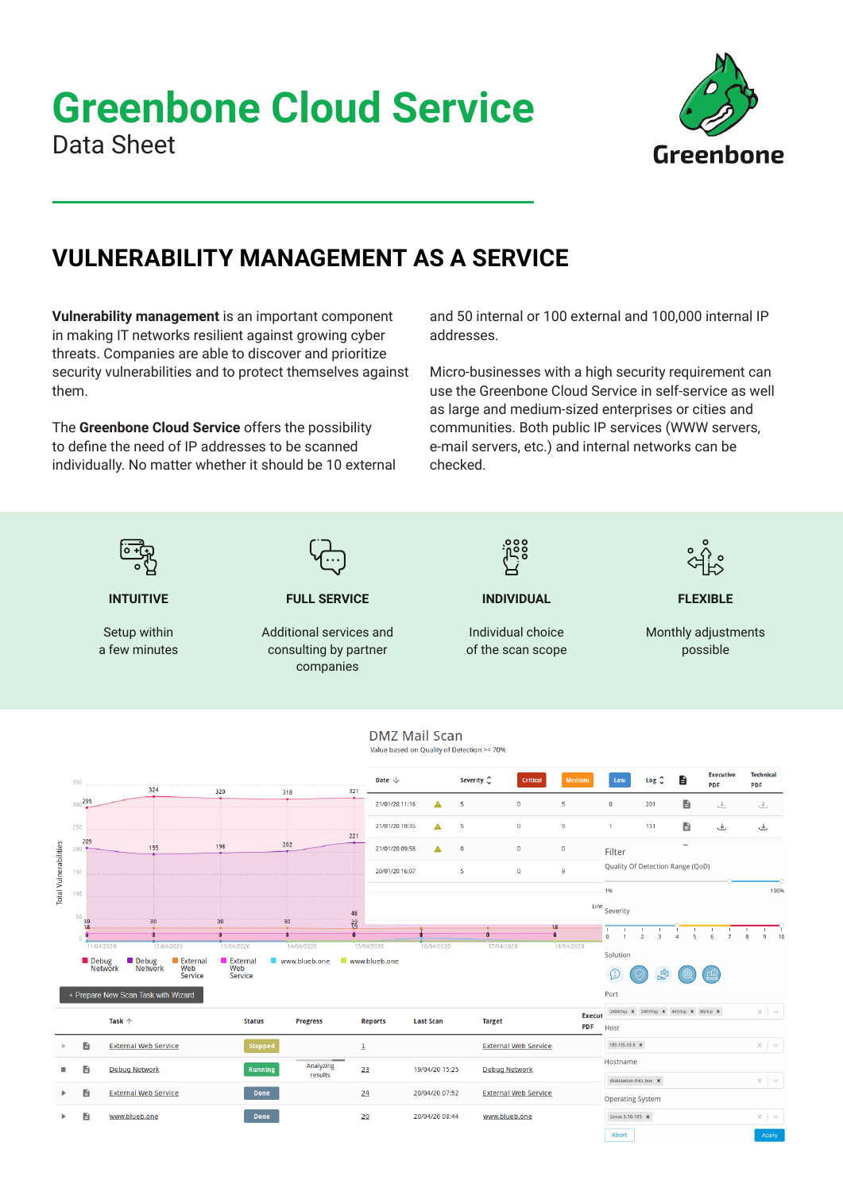## **Greenbone Cloud Service** Data Sheet



### **VULNERABILITY MANAGEMENT AS A SERVICE**

**Vulnerability management** is an important component in making IT networks resilient against growing cyber threats. Companies are able to discover and prioritize security vulnerabilities and to protect themselves against them.

The **Greenbone Cloud Service** offers the possibility to define the need of IP addresses to be scanned individually. No matter whether it should be 10 external and 50 internal or 100 external and 100,000 internal IP addresses.

Micro-businesses with a high security requirement can use the Greenbone Cloud Service in self-service as well as large and medium-sized enterprises or cities and communities. Both public IP services (WWW servers, e-mail servers, etc.) and internal networks can be checked.